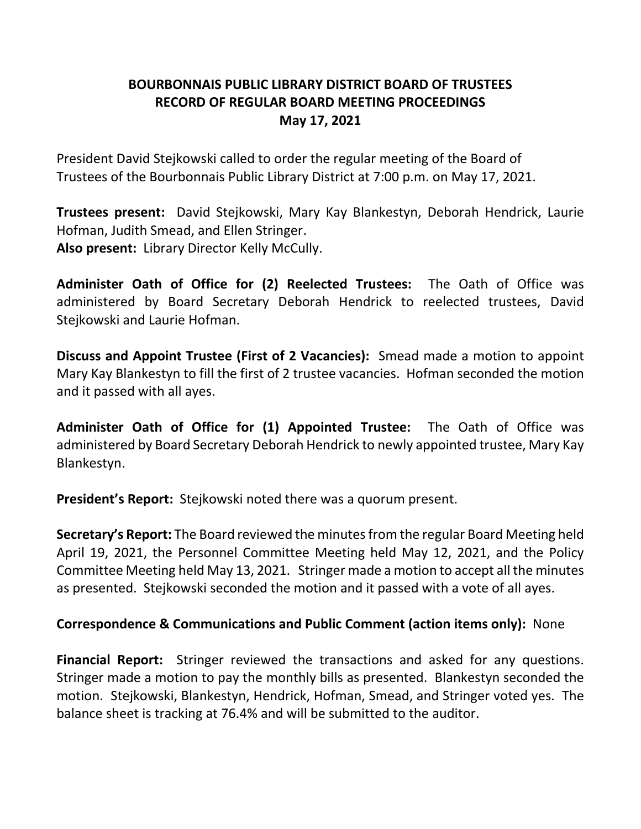# **BOURBONNAIS PUBLIC LIBRARY DISTRICT BOARD OF TRUSTEES RECORD OF REGULAR BOARD MEETING PROCEEDINGS May 17, 2021**

President David Stejkowski called to order the regular meeting of the Board of Trustees of the Bourbonnais Public Library District at 7:00 p.m. on May 17, 2021.

**Trustees present:** David Stejkowski, Mary Kay Blankestyn, Deborah Hendrick, Laurie Hofman, Judith Smead, and Ellen Stringer. **Also present:** Library Director Kelly McCully.

**Administer Oath of Office for (2) Reelected Trustees:** The Oath of Office was administered by Board Secretary Deborah Hendrick to reelected trustees, David Stejkowski and Laurie Hofman.

**Discuss and Appoint Trustee (First of 2 Vacancies):** Smead made a motion to appoint Mary Kay Blankestyn to fill the first of 2 trustee vacancies. Hofman seconded the motion and it passed with all ayes.

**Administer Oath of Office for (1) Appointed Trustee:** The Oath of Office was administered by Board Secretary Deborah Hendrick to newly appointed trustee, Mary Kay Blankestyn.

**President's Report:** Stejkowski noted there was a quorum present.

**Secretary's Report:** The Board reviewed the minutes from the regular Board Meeting held April 19, 2021, the Personnel Committee Meeting held May 12, 2021, and the Policy Committee Meeting held May 13, 2021. Stringer made a motion to accept all the minutes as presented. Stejkowski seconded the motion and it passed with a vote of all ayes.

## **Correspondence & Communications and Public Comment (action items only):** None

**Financial Report:** Stringer reviewed the transactions and asked for any questions. Stringer made a motion to pay the monthly bills as presented. Blankestyn seconded the motion. Stejkowski, Blankestyn, Hendrick, Hofman, Smead, and Stringer voted yes. The balance sheet is tracking at 76.4% and will be submitted to the auditor.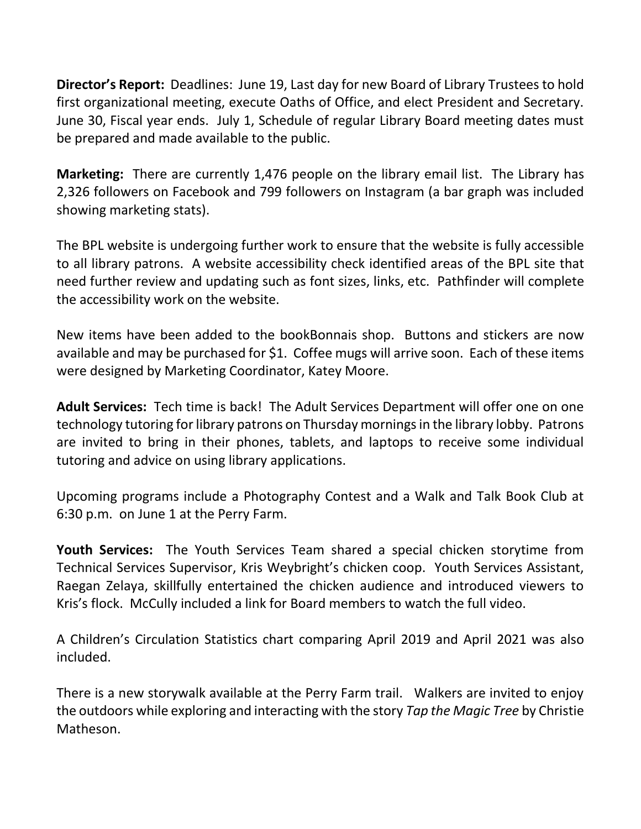**Director's Report:** Deadlines: June 19, Last day for new Board of Library Trustees to hold first organizational meeting, execute Oaths of Office, and elect President and Secretary. June 30, Fiscal year ends. July 1, Schedule of regular Library Board meeting dates must be prepared and made available to the public.

**Marketing:** There are currently 1,476 people on the library email list. The Library has 2,326 followers on Facebook and 799 followers on Instagram (a bar graph was included showing marketing stats).

The BPL website is undergoing further work to ensure that the website is fully accessible to all library patrons. A website accessibility check identified areas of the BPL site that need further review and updating such as font sizes, links, etc. Pathfinder will complete the accessibility work on the website.

New items have been added to the bookBonnais shop. Buttons and stickers are now available and may be purchased for \$1. Coffee mugs will arrive soon. Each of these items were designed by Marketing Coordinator, Katey Moore.

**Adult Services:** Tech time is back! The Adult Services Department will offer one on one technology tutoring for library patrons on Thursday mornings in the library lobby. Patrons are invited to bring in their phones, tablets, and laptops to receive some individual tutoring and advice on using library applications.

Upcoming programs include a Photography Contest and a Walk and Talk Book Club at 6:30 p.m. on June 1 at the Perry Farm.

**Youth Services:** The Youth Services Team shared a special chicken storytime from Technical Services Supervisor, Kris Weybright's chicken coop. Youth Services Assistant, Raegan Zelaya, skillfully entertained the chicken audience and introduced viewers to Kris's flock. McCully included a link for Board members to watch the full video.

A Children's Circulation Statistics chart comparing April 2019 and April 2021 was also included.

There is a new storywalk available at the Perry Farm trail. Walkers are invited to enjoy the outdoors while exploring and interacting with the story *Tap the Magic Tree* by Christie Matheson.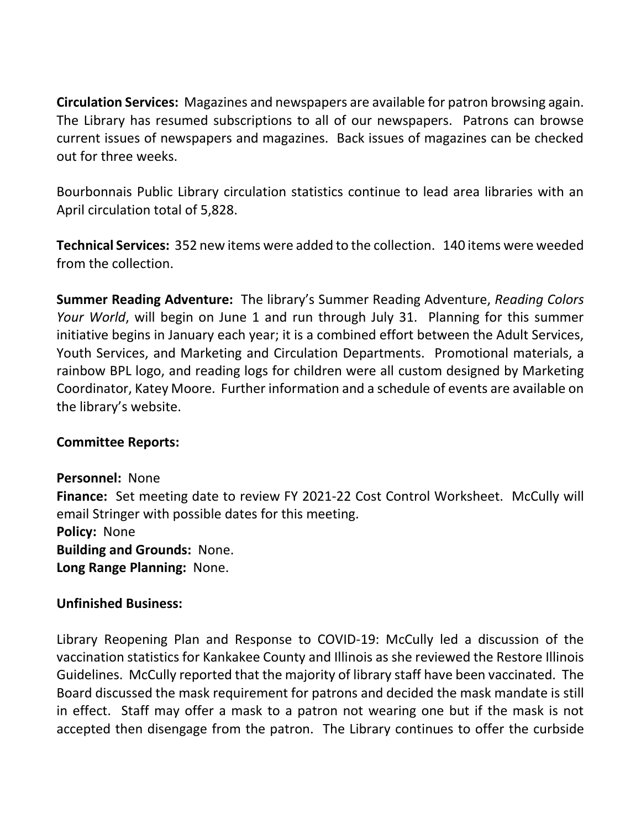**Circulation Services:** Magazines and newspapers are available for patron browsing again. The Library has resumed subscriptions to all of our newspapers. Patrons can browse current issues of newspapers and magazines. Back issues of magazines can be checked out for three weeks.

Bourbonnais Public Library circulation statistics continue to lead area libraries with an April circulation total of 5,828.

**Technical Services:** 352 new items were added to the collection. 140 items were weeded from the collection.

**Summer Reading Adventure:** The library's Summer Reading Adventure, *Reading Colors Your World*, will begin on June 1 and run through July 31. Planning for this summer initiative begins in January each year; it is a combined effort between the Adult Services, Youth Services, and Marketing and Circulation Departments. Promotional materials, a rainbow BPL logo, and reading logs for children were all custom designed by Marketing Coordinator, Katey Moore. Further information and a schedule of events are available on the library's website.

## **Committee Reports:**

**Personnel:** None Finance: Set meeting date to review FY 2021-22 Cost Control Worksheet. McCully will email Stringer with possible dates for this meeting. **Policy:** None **Building and Grounds:** None. **Long Range Planning:** None.

#### **Unfinished Business:**

Library Reopening Plan and Response to COVID-19: McCully led a discussion of the vaccination statistics for Kankakee County and Illinois as she reviewed the Restore Illinois Guidelines. McCully reported that the majority of library staff have been vaccinated. The Board discussed the mask requirement for patrons and decided the mask mandate is still in effect. Staff may offer a mask to a patron not wearing one but if the mask is not accepted then disengage from the patron. The Library continues to offer the curbside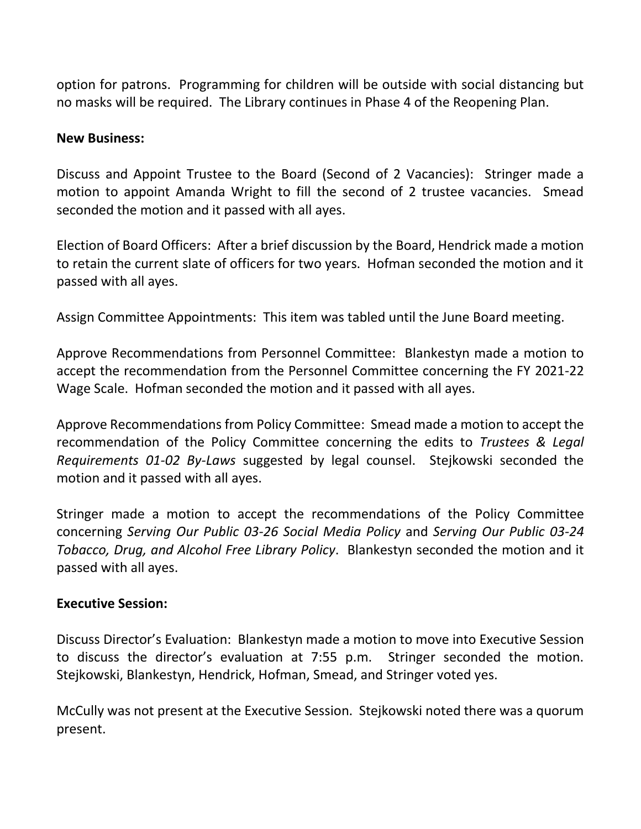option for patrons. Programming for children will be outside with social distancing but no masks will be required. The Library continues in Phase 4 of the Reopening Plan.

### **New Business:**

Discuss and Appoint Trustee to the Board (Second of 2 Vacancies): Stringer made a motion to appoint Amanda Wright to fill the second of 2 trustee vacancies. Smead seconded the motion and it passed with all ayes.

Election of Board Officers: After a brief discussion by the Board, Hendrick made a motion to retain the current slate of officers for two years. Hofman seconded the motion and it passed with all ayes.

Assign Committee Appointments: This item was tabled until the June Board meeting.

Approve Recommendations from Personnel Committee: Blankestyn made a motion to accept the recommendation from the Personnel Committee concerning the FY 2021-22 Wage Scale. Hofman seconded the motion and it passed with all ayes.

Approve Recommendations from Policy Committee: Smead made a motion to accept the recommendation of the Policy Committee concerning the edits to *Trustees & Legal Requirements 01-02 By-Laws* suggested by legal counsel. Stejkowski seconded the motion and it passed with all ayes.

Stringer made a motion to accept the recommendations of the Policy Committee concerning *Serving Our Public 03-26 Social Media Policy* and *Serving Our Public 03-24 Tobacco, Drug, and Alcohol Free Library Policy*. Blankestyn seconded the motion and it passed with all ayes.

#### **Executive Session:**

Discuss Director's Evaluation: Blankestyn made a motion to move into Executive Session to discuss the director's evaluation at 7:55 p.m. Stringer seconded the motion. Stejkowski, Blankestyn, Hendrick, Hofman, Smead, and Stringer voted yes.

McCully was not present at the Executive Session. Stejkowski noted there was a quorum present.